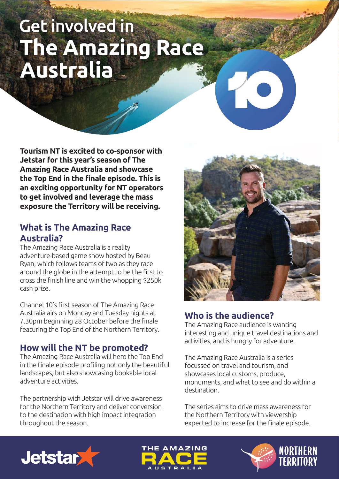# **Get involved in** The Amazing Race Australia

**Tourism NT is excited to co-sponsor with Jetstar for this year's season of The Amazing Race Australia and showcase the Top End in the finale episode. This is an exciting opportunity for NT operators to get involved and leverage the mass exposure the Territory will be receiving.**

#### **What is The Amazing Race Australia?**

The Amazing Race Australia is a reality adventure-based game show hosted by Beau Ryan, which follows teams of two as they race around the globe in the attempt to be the first to cross the finish line and win the whopping \$250k cash prize.

Channel 10's first season of The Amazing Race Australia airs on Monday and Tuesday nights at 7.30pm beginning 28 October before the finale featuring the Top End of the Northern Territory.

## **How will the NT be promoted?**

The Amazing Race Australia will hero the Top End in the finale episode profiling not only the beautiful landscapes, but also showcasing bookable local adventure activities.

The partnership with Jetstar will drive awareness for the Northern Territory and deliver conversion to the destination with high impact integration throughout the season.



# **Who is the audience?**

The Amazing Race audience is wanting interesting and unique travel destinations and activities, and is hungry for adventure.

The Amazing Race Australia is a series focussed on travel and tourism, and showcases local customs, produce, monuments, and what to see and do within a destination.

The series aims to drive mass awareness for the Northern Territory with viewership expected to increase for the finale episode.